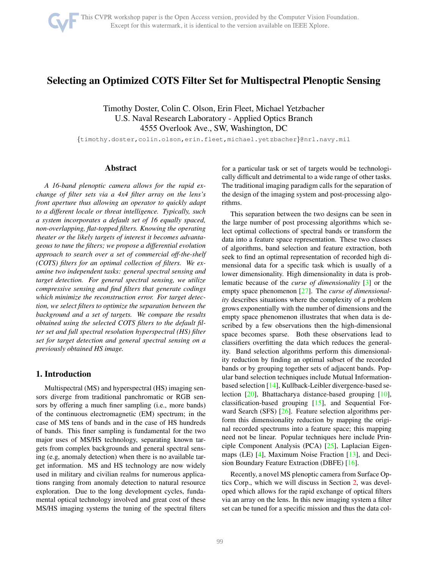# Selecting an Optimized COTS Filter Set for Multispectral Plenoptic Sensing

Timothy Doster, Colin C. Olson, Erin Fleet, Michael Yetzbacher U.S. Naval Research Laboratory - Applied Optics Branch 4555 Overlook Ave., SW, Washington, DC

{timothy.doster,colin.olson,erin.fleet,michael.yetzbacher}@nrl.navy.mil

# Abstract

*A 16-band plenoptic camera allows for the rapid exchange of filter sets via a 4x4 filter array on the lens's front aperture thus allowing an operator to quickly adapt to a different locale or threat intelligence. Typically, such a system incorporates a default set of 16 equally spaced, non-overlapping, flat-topped filters. Knowing the operating theater or the likely targets of interest it becomes advantageous to tune the filters; we propose a differential evolution approach to search over a set of commercial off-the-shelf (COTS) filters for an optimal collection of filters. We examine two independent tasks: general spectral sensing and target detection. For general spectral sensing, we utilize compressive sensing and find filters that generate codings which minimize the reconstruction error. For target detection, we select filters to optimize the separation between the background and a set of targets. We compare the results obtained using the selected COTS filters to the default filter set and full spectral resolution hyperspectral (HS) filter set for target detection and general spectral sensing on a previously obtained HS image.*

# 1. Introduction

Multispectral (MS) and hyperspectral (HS) imaging sensors diverge from traditional panchromatic or RGB sensors by offering a much finer sampling (i.e., more bands) of the continuous electromagnetic (EM) spectrum; in the case of MS tens of bands and in the case of HS hundreds of bands. This finer sampling is fundamental for the two major uses of MS/HS technology, separating known targets from complex backgrounds and general spectral sensing (e.g, anomaly detection) when there is no available target information. MS and HS technology are now widely used in military and civilian realms for numerous applications ranging from anomaly detection to natural resource exploration. Due to the long development cycles, fundamental optical technology involved and great cost of these MS/HS imaging systems the tuning of the spectral filters

for a particular task or set of targets would be technologically difficult and detrimental to a wide range of other tasks. The traditional imaging paradigm calls for the separation of the design of the imaging system and post-processing algorithms.

This separation between the two designs can be seen in the large number of post processing algorithms which select optimal collections of spectral bands or transform the data into a feature space representation. These two classes of algorithms, band selection and feature extraction, both seek to find an optimal representation of recorded high dimensional data for a specific task which is usually of a lower dimensionality. High dimensionality in data is problematic because of the *curse of dimensionality* [\[3\]](#page-7-0) or the empty space phenomenon [\[27\]](#page-8-0). The *curse of dimensionality* describes situations where the complexity of a problem grows exponentially with the number of dimensions and the empty space phenomenon illustrates that when data is described by a few observations then the high-dimensional space becomes sparse. Both these observations lead to classifiers overfitting the data which reduces the generality. Band selection algorithms perform this dimensionality reduction by finding an optimal subset of the recorded bands or by grouping together sets of adjacent bands. Popular band selection techniques include Mutual Informationbased selection [\[14\]](#page-8-1), Kullback-Leibler divergence-based selection [\[20\]](#page-8-2), Bhattacharya distance-based grouping [\[10\]](#page-7-1), classification-based grouping [\[15\]](#page-8-3), and Sequential Forward Search (SFS) [\[26\]](#page-8-4). Feature selection algorithms perform this dimensionality reduction by mapping the original recorded spectrums into a feature space; this mapping need not be linear. Popular techniques here include Principle Component Analysis (PCA) [\[25\]](#page-8-5), Laplacian Eigenmaps (LE) [\[4\]](#page-7-2), Maximum Noise Fraction [\[13\]](#page-8-6), and Decision Boundary Feature Extraction (DBFE) [\[16\]](#page-8-7).

Recently, a novel MS plenoptic camera from Surface Optics Corp., which we will discuss in Section [2,](#page-1-0) was developed which allows for the rapid exchange of optical filters via an array on the lens. In this new imaging system a filter set can be tuned for a specific mission and thus the data col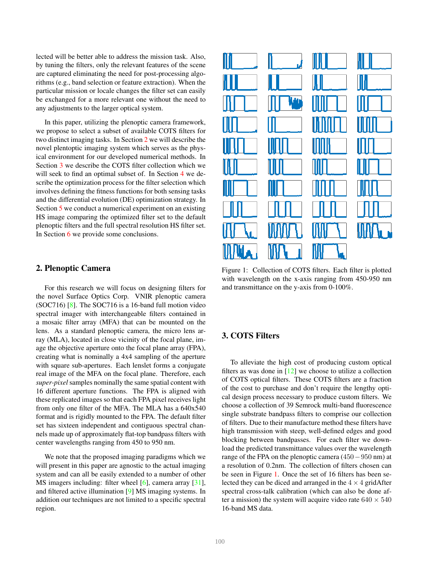lected will be better able to address the mission task. Also, by tuning the filters, only the relevant features of the scene are captured eliminating the need for post-processing algorithms (e.g., band selection or feature extraction). When the particular mission or locale changes the filter set can easily be exchanged for a more relevant one without the need to any adjustments to the larger optical system.

In this paper, utilizing the plenoptic camera framework, we propose to select a subset of available COTS filters for two distinct imaging tasks. In Section [2](#page-1-0) we will describe the novel plentoptic imaging system which serves as the physical environment for our developed numerical methods. In Section [3](#page-1-1) we describe the COTS filter collection which we will seek to find an optimal subset of. In Section [4](#page-2-0) we describe the optimization process for the filter selection which involves defining the fitness functions for both sensing tasks and the differential evolution (DE) optimization strategy. In Section [5](#page-4-0) we conduct a numerical experiment on an existing HS image comparing the optimized filter set to the default plenoptic filters and the full spectral resolution HS filter set. In Section [6](#page-6-0) we provide some conclusions.

## <span id="page-1-0"></span>2. Plenoptic Camera

For this research we will focus on designing filters for the novel Surface Optics Corp. VNIR plenoptic camera  $(SOC716)$  [\[8\]](#page-7-3). The SOC716 is a 16-band full motion video spectral imager with interchangeable filters contained in a mosaic filter array (MFA) that can be mounted on the lens. As a standard plenoptic camera, the micro lens array (MLA), located in close vicinity of the focal plane, image the objective aperture onto the focal plane array (FPA), creating what is nominally a 4x4 sampling of the aperture with square sub-apertures. Each lenslet forms a conjugate real image of the MFA on the focal plane. Therefore, each *super-pixel* samples nominally the same spatial content with 16 different aperture functions. The FPA is aligned with these replicated images so that each FPA pixel receives light from only one filter of the MFA. The MLA has a 640x540 format and is rigidly mounted to the FPA. The default filter set has sixteen independent and contiguous spectral channels made up of approximately flat-top bandpass filters with center wavelengths ranging from 450 to 950 nm.

We note that the proposed imaging paradigms which we will present in this paper are agnostic to the actual imaging system and can all be easily extended to a number of other MS imagers including: filter wheel [\[6\]](#page-7-4), camera array [\[31\]](#page-8-8), and filtered active illumination [\[9\]](#page-7-5) MS imaging systems. In addition our techniques are not limited to a specific spectral region.

<span id="page-1-2"></span>

Figure 1: Collection of COTS filters. Each filter is plotted with wavelength on the x-axis ranging from 450-950 nm and transmittance on the y-axis from 0-100%.

# <span id="page-1-1"></span>3. COTS Filters

To alleviate the high cost of producing custom optical filters as was done in  $[12]$  we choose to utilize a collection of COTS optical filters. These COTS filters are a fraction of the cost to purchase and don't require the lengthy optical design process necessary to produce custom filters. We choose a collection of 39 Semrock multi-band fluorescence single substrate bandpass filters to comprise our collection of filters. Due to their manufacture method these filters have high transmission with steep, well-defined edges and good blocking between bandpasses. For each filter we download the predicted transmittance values over the wavelength range of the FPA on the plenoptic camera (450−950 nm) at a resolution of 0.2nm. The collection of filters chosen can be seen in Figure [1.](#page-1-2) Once the set of 16 filters has been selected they can be diced and arranged in the  $4 \times 4$  gridAfter spectral cross-talk calibration (which can also be done after a mission) the system will acquire video rate  $640 \times 540$ 16-band MS data.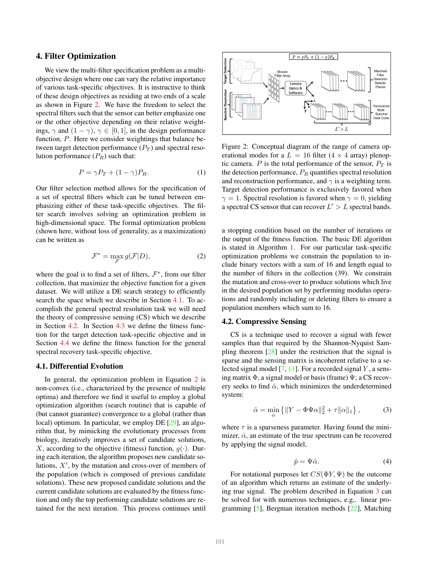### <span id="page-2-0"></span>4. Filter Optimization

We view the multi-filter specification problem as a multiobjective design where one can vary the relative importance of various task-specific objectives. It is instructive to think of these design objectives as residing at two ends of a scale as shown in Figure [2.](#page-2-1) We have the freedom to select the spectral filters such that the sensor can better emphasize one or the other objective depending on their relative weightings,  $\gamma$  and  $(1 - \gamma)$ ,  $\gamma \in [0, 1]$ , in the design performance function, P. Here we consider weightings that balance between target detection performance  $(P_T)$  and spectral resolution performance  $(P_R)$  such that:

$$
P = \gamma P_T + (1 - \gamma) P_R. \tag{1}
$$

Our filter selection method allows for the specification of a set of spectral filters which can be tuned between emphasizing either of these task-specific objectives. The filter search involves solving an optimization problem in high-dimensional space. The formal optimization problem (shown here, without loss of generality, as a maximization) can be written as

$$
\mathcal{F}^* = \max_{\mathcal{F}} g(\mathcal{F}|D),\tag{2}
$$

where the goal is to find a set of filters,  $\mathcal{F}^*$ , from our filter collection, that maximize the objective function for a given dataset. We will utilize a DE search strategy to efficiently search the space which we describe in Section [4.1.](#page-2-2) To accomplish the general spectral resolution task we will need the theory of compressive sensing (CS) which we describe in Section [4.2.](#page-2-3) In Section [4.3](#page-3-0) we define the fitness function for the target detection task-specific objective and in Section [4.4](#page-3-1) we define the fitness function for the general spectral recovery task-specific objective.

### <span id="page-2-2"></span>4.1. Differential Evolution

In general, the optimization problem in Equation [2](#page-2-4) is non-convex (i.e., characterized by the presence of multiple optima) and therefore we find it useful to employ a global optimization algorithm (search routine) that is capable of (but cannot guarantee) convergence to a global (rather than local) optimum. In particular, we employ DE [\[29\]](#page-8-9), an algorithm that, by mimicking the evolutionary processes from biology, iteratively improves a set of candidate solutions, X, according to the objective (fitness) function,  $q(\cdot)$ . During each iteration, the algorithm proposes new candidate solutions,  $X'$ , by the mutation and cross-over of members of the population (which is composed of previous candidate solutions). These new proposed candidate solutions and the current candidate solutions are evaluated by the fitness function and only the top performing candidate solutions are retained for the next iteration. This process continues until

<span id="page-2-1"></span>

Figure 2: Conceptual diagram of the range of camera operational modes for a  $L = 16$  filter (4  $\times$  4 array) plenoptic camera. P is the total performance of the sensor,  $P_T$  is the detection performance,  $P_R$  quantifies spectral resolution and reconstruction performance, and  $\gamma$  is a weighting term. Target detection performance is exclusively favored when  $\gamma = 1$ . Spectral resolution is favored when  $\gamma = 0$ , yielding a spectral CS sensor that can recover  $L' > L$  spectral bands.

<span id="page-2-4"></span>a stopping condition based on the number of iterations or the output of the fitness function. The basic DE algorithm is stated in Algorithm [1.](#page-3-2) For our particular task-specific optimization problems we constrain the population to include binary vectors with a sum of 16 and length equal to the number of filters in the collection (39). We constrain the mutation and cross-over to produce solutions which live in the desired population set by performing modulus operations and randomly including or deleting filters to ensure a population members which sum to 16.

#### <span id="page-2-3"></span>4.2. Compressive Sensing

CS is a technique used to recover a signal with fewer samples than that required by the Shannon-Nyquist Sampling theorem [\[28\]](#page-8-10) under the restriction that the signal is sparse and the sensing matrix is incoherent relative to a selected signal model  $[7, 11]$  $[7, 11]$ . For a recorded signal Y, a sensing matrix  $\Phi$ , a signal model or basis (frame)  $\Psi$ ; a CS recovery seeks to find  $\hat{\alpha}$ , which minimizes the underdetermined system:

<span id="page-2-5"></span>
$$
\hat{\alpha} = \min_{\alpha} \left\{ \|Y - \Phi \Psi \alpha\|_2^2 + \tau \|\alpha\|_1 \right\},\tag{3}
$$

where  $\tau$  is a sparseness parameter. Having found the minimizer,  $\hat{\alpha}$ , an estimate of the true spectrum can be recovered by applying the signal model,

<span id="page-2-6"></span>
$$
\hat{p} = \Psi \hat{\alpha}.\tag{4}
$$

For notational purposes let  $CS(\Phi Y, \Psi)$  be the outcome of an algorithm which returns an estimate of the underlying true signal. The problem described in Equation [3](#page-2-5) can be solved for with numerous techniques, e.g,. linear programming [\[5\]](#page-7-9), Bergman iteration methods [\[22\]](#page-8-11), Matching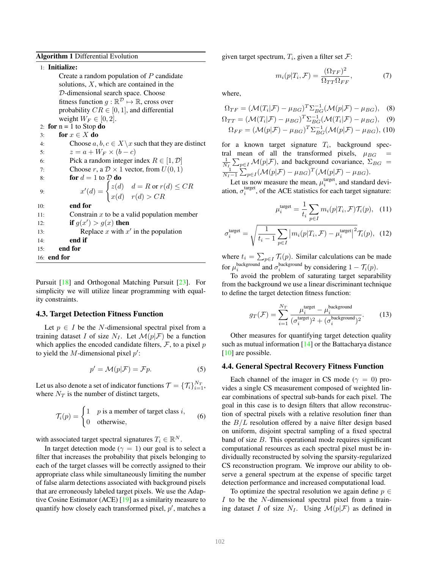<span id="page-3-2"></span>Algorithm 1 Differential Evolution

# 1: Initialize:

Create a random population of  $P$  candidate solutions,  $X$ , which are contained in the D-dimensional search space. Choose fitness function  $g : \mathbb{R}^{\mathcal{D}} \mapsto \mathbb{R}$ , cross over probability  $CR \in [0, 1]$ , and differential weight  $W_F \in [0, 2]$ . 2: for  $n = 1$  to Stop do 3: for  $x \in X$  do 4: Choose  $a, b, c \in X \setminus x$  such that they are distinct 5:  $z = a + W_F \times (b - c)$ 6: Pick a random integer index  $R \in [1, \mathcal{D}]$ 7: Choose r, a  $\mathcal{D} \times 1$  vector, from  $U(0, 1)$ 8: **for**  $d = 1$  to  $D$  **do** 9:  $x'(d) = \begin{cases} z(d) & d = R \text{ or } r(d) \leq CR \end{cases}$  $x(d)$   $r(d) > CR$ 10: end for 11: Constrain  $x$  to be a valid population member 12: **if**  $g(x') > g(x)$  then 13: Replace x with  $x'$  in the population

14: end if 15: end for

16: end for

Pursuit [\[18\]](#page-8-12) and Orthogonal Matching Pursuit [\[23\]](#page-8-13). For simplicity we will utilize linear programming with equality constraints.

#### <span id="page-3-0"></span>4.3. Target Detection Fitness Function

Let  $p \in I$  be the N-dimensional spectral pixel from a training dataset I of size  $N_I$ . Let  $\mathcal{M}(p|\mathcal{F})$  be a function which applies the encoded candidate filters,  $\mathcal F$ , to a pixel  $p$ to yield the *M*-dimensional pixel  $p'$ :

<span id="page-3-3"></span>
$$
p' = \mathcal{M}(p|\mathcal{F}) = \mathcal{F}p.
$$
 (5)

Let us also denote a set of indicator functions  $\mathcal{T} = \{\mathcal{T}_i\}_{i=1}^{N_T}$ , where  $N_T$  is the number of distinct targets,

$$
\mathcal{T}_i(p) = \begin{cases} 1 & p \text{ is a member of target class } i, \\ 0 & \text{otherwise,} \end{cases}
$$
 (6)

with associated target spectral signatures  $T_i \in \mathbb{R}^N$ .

In target detection mode ( $\gamma = 1$ ) our goal is to select a filter that increases the probability that pixels belonging to each of the target classes will be correctly assigned to their appropriate class while simultaneously limiting the number of false alarm detections associated with background pixels that are erroneously labeled target pixels. We use the Adaptive Cosine Estimator (ACE) [\[19\]](#page-8-14) as a similarity measure to quantify how closely each transformed pixel,  $p'$ , matches a

given target spectrum,  $T_i$ , given a filter set  $\mathcal{F}$ :

$$
m_i(p|T_i, \mathcal{F}) = \frac{(\Omega_{TF})^2}{\Omega_{TT}\Omega_{FF}},\tag{7}
$$

where,

$$
\Omega_{TF} = (\mathcal{M}(T_i|\mathcal{F}) - \mu_{BG})^T \Sigma_{BG}^{-1} (\mathcal{M}(p|\mathcal{F}) - \mu_{BG}), \quad (8)
$$

$$
\Omega_{TT} = (\mathcal{M}(T_i|\mathcal{F}) - \mu_{BG})^T \Sigma_{BG}^{-1} (\mathcal{M}(T_i|\mathcal{F}) - \mu_{BG}), \quad (9)
$$
  

$$
\Omega_{FF} = (\mathcal{M}(p|\mathcal{F}) - \mu_{BG})^T \Sigma_{BG}^{-1} (\mathcal{M}(p|\mathcal{F}) - \mu_{BG}), \quad (10)
$$

for a known target signature  $T_i$ , background spectral mean of all the transformed pixels,  $\mu_{BG}$ 1  $\frac{1}{N_I} \sum_{p \in I} \mathcal{M}(p|\mathcal{F})$ , and background covariance,  $\Sigma_{BG} = \frac{1}{N_I-1} \sum_{p \in I} (\mathcal{M}(p|\mathcal{F}) - \mu_{BG})^T (\mathcal{M}(p|\mathcal{F}) - \mu_{BG}).$ 

Let us now measure the mean,  $\mu_i^{\text{target}}$ , and standard deviation,  $\sigma_i^{\text{target}}$ , of the ACE statistics for each target signature:

$$
\mu_i^{\text{target}} = \frac{1}{t_i} \sum_{p \in I} m_i(p|T_i, \mathcal{F}) \mathcal{T}_i(p), \quad (11)
$$

$$
\sigma_i^{\text{target}} = \sqrt{\frac{1}{t_i - 1} \sum_{p \in I} \left| m_i(p | T_i, \mathcal{F}) - \mu_i^{\text{target}} \right|^2} \mathcal{T}_i(p), \tag{12}
$$

where  $t_i = \sum_{p \in I} \mathcal{T}_i(p)$ . Similar calculations can be made for  $\mu_i^{\text{background}}$  and  $\sigma_i^{\text{background}}$  by considering  $1 - \mathcal{T}_i(p)$ .

To avoid the problem of saturating target separability from the background we use a linear discriminant technique to define the target detection fitness function:

<span id="page-3-4"></span>
$$
g_T(\mathcal{F}) = \sum_{i=1}^{N_T} \frac{\mu_i^{\text{target}} - \mu_i^{\text{background}}}{(\sigma_i^{\text{target}})^2 + (\sigma_i^{\text{background}})^2}.
$$
 (13)

Other measures for quantifying target detection quality such as mutual information [\[14\]](#page-8-1) or the Battacharya distance [\[10\]](#page-7-1) are possible.

#### <span id="page-3-1"></span>4.4. General Spectral Recovery Fitness Function

Each channel of the imager in CS mode ( $\gamma = 0$ ) provides a single CS measurement composed of weighted linear combinations of spectral sub-bands for each pixel. The goal in this case is to design filters that allow reconstruction of spectral pixels with a relative resolution finer than the  $B/L$  resolution offered by a naive filter design based on uniform, disjoint spectral sampling of a fixed spectral band of size  $B$ . This operational mode requires significant computational resources as each spectral pixel must be individually reconstructed by solving the sparsity-regularized CS reconstruction program. We improve our ability to observe a general spectrum at the expense of specific target detection performance and increased computational load.

To optimize the spectral resolution we again define  $p \in$ I to be the N-dimensional spectral pixel from a training dataset I of size  $N_I$ . Using  $\mathcal{M}(p|\mathcal{F})$  as defined in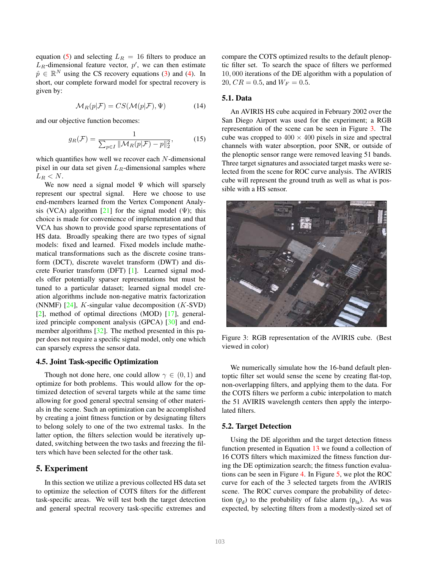equation [\(5\)](#page-3-3) and selecting  $L_R = 16$  filters to produce an  $L_R$ -dimensional feature vector,  $p'$ , we can then estimate  $\hat{p} \in \mathbb{R}^N$  using the CS recovery equations [\(3\)](#page-2-5) and [\(4\)](#page-2-6). In short, our complete forward model for spectral recovery is given by:

$$
\mathcal{M}_R(p|\mathcal{F}) = CS(\mathcal{M}(p|\mathcal{F}), \Psi)
$$
 (14)

and our objective function becomes:

<span id="page-4-2"></span>
$$
g_R(\mathcal{F}) = \frac{1}{\sum_{p \in I} ||\mathcal{M}_R(p|\mathcal{F}) - p||_2^2},\tag{15}
$$

which quantifies how well we recover each  $N$ -dimensional pixel in our data set given  $L_R$ -dimensional samples where  $L_R < N$ .

We now need a signal model  $\Psi$  which will sparsely represent our spectral signal. Here we choose to use end-members learned from the Vertex Component Analysis (VCA) algorithm  $[21]$  for the signal model ( $\Psi$ ); this choice is made for convenience of implementation and that VCA has shown to provide good sparse representations of HS data. Broadly speaking there are two types of signal models: fixed and learned. Fixed models include mathematical transformations such as the discrete cosine transform (DCT), discrete wavelet transform (DWT) and discrete Fourier transform (DFT) [\[1\]](#page-6-1). Learned signal models offer potentially sparser representations but must be tuned to a particular dataset; learned signal model creation algorithms include non-negative matrix factorization (NNMF)  $[24]$ , *K*-singular value decomposition (*K*-SVD) [\[2\]](#page-6-2), method of optimal directions (MOD) [\[17\]](#page-8-17), generalized principle component analysis (GPCA) [\[30\]](#page-8-18) and end-member algorithms [\[32\]](#page-8-19). The method presented in this paper does not require a specific signal model, only one which can sparsely express the sensor data.

### 4.5. Joint Task-specific Optimization

Though not done here, one could allow  $\gamma \in (0,1)$  and optimize for both problems. This would allow for the optimized detection of several targets while at the same time allowing for good general spectral sensing of other materials in the scene. Such an optimization can be accomplished by creating a joint fitness function or by designating filters to belong solely to one of the two extremal tasks. In the latter option, the filters selection would be iteratively updated, switching between the two tasks and freezing the filters which have been selected for the other task.

### <span id="page-4-0"></span>5. Experiment

In this section we utilize a previous collected HS data set to optimize the selection of COTS filters for the different task-specific areas. We will test both the target detection and general spectral recovery task-specific extremes and compare the COTS optimized results to the default plenoptic filter set. To search the space of filters we performed 10, 000 iterations of the DE algorithm with a population of 20,  $CR = 0.5$ , and  $W_F = 0.5$ .

## 5.1. Data

An AVIRIS HS cube acquired in February 2002 over the San Diego Airport was used for the experiment; a RGB representation of the scene can be seen in Figure [3.](#page-4-1) The cube was cropped to  $400 \times 400$  pixels in size and spectral channels with water absorption, poor SNR, or outside of the plenoptic sensor range were removed leaving 51 bands. Three target signatures and associated target masks were selected from the scene for ROC curve analysis. The AVIRIS cube will represent the ground truth as well as what is possible with a HS sensor.

<span id="page-4-1"></span>

Figure 3: RGB representation of the AVIRIS cube. (Best viewed in color)

We numerically simulate how the 16-band default plentoptic filter set would sense the scene by creating flat-top, non-overlapping filters, and applying them to the data. For the COTS filters we perform a cubic interpolation to match the 51 AVIRIS wavelength centers then apply the interpolated filters.

#### 5.2. Target Detection

Using the DE algorithm and the target detection fitness function presented in Equation [13](#page-3-4) we found a collection of 16 COTS filters which maximized the fitness function during the DE optimization search; the fitness function evaluations can be seen in Figure [4.](#page-5-0) In Figure [5,](#page-5-1) we plot the ROC curve for each of the 3 selected targets from the AVIRIS scene. The ROC curves compare the probability of detection  $(p_d)$  to the probability of false alarm  $(p_{fa})$ . As was expected, by selecting filters from a modestly-sized set of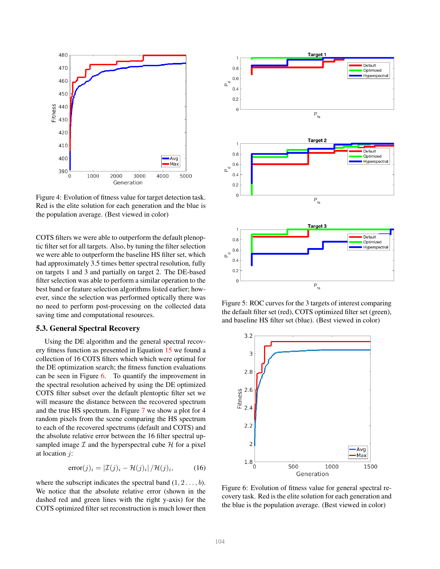<span id="page-5-0"></span>

Figure 4: Evolution of fitness value for target detection task. Red is the elite solution for each generation and the blue is the population average. (Best viewed in color)

COTS filters we were able to outperform the default plenoptic filter set for all targets. Also, by tuning the filter selection we were able to outperform the baseline HS filter set, which had approximately 3.5 times better spectral resolution, fully on targets 1 and 3 and partially on target 2. The DE-based filter selection was able to perform a similar operation to the best band or feature selection algorithms listed earlier; however, since the selection was performed optically there was no need to perform post-processing on the collected data saving time and computational resources.

#### 5.3. General Spectral Recovery

Using the DE algorithm and the general spectral recovery fitness function as presented in Equation [15](#page-4-2) we found a collection of 16 COTS filters which which were optimal for the DE optimization search; the fitness function evaluations can be seen in Figure [6.](#page-5-2) To quantify the improvement in the spectral resolution acheived by using the DE optimized COTS filter subset over the default plentoptic filter set we will measure the distance between the recovered spectrum and the true HS spectrum. In Figure [7](#page-6-3) we show a plot for 4 random pixels from the scene comparing the HS spectrum to each of the recovered spectrums (default and COTS) and the absolute relative error between the 16 filter spectral upsampled image  $I$  and the hyperspectral cube  $H$  for a pixel at location j:

$$
error(j)_i = |\mathcal{I}(j)_i - \mathcal{H}(j)_i| / \mathcal{H}(j)_i,
$$
 (16)

where the subscript indicates the spectral band  $(1, 2, \ldots, b)$ . We notice that the absolute relative error (shown in the dashed red and green lines with the right y-axis) for the COTS optimized filter set reconstruction is much lower then

<span id="page-5-1"></span>

Figure 5: ROC curves for the 3 targets of interest comparing the default filter set (red), COTS optimized filter set (green), and baseline HS filter set (blue). (Best viewed in color)

<span id="page-5-2"></span>

Figure 6: Evolution of fitness value for general spectral recovery task. Red is the elite solution for each generation and the blue is the population average. (Best viewed in color)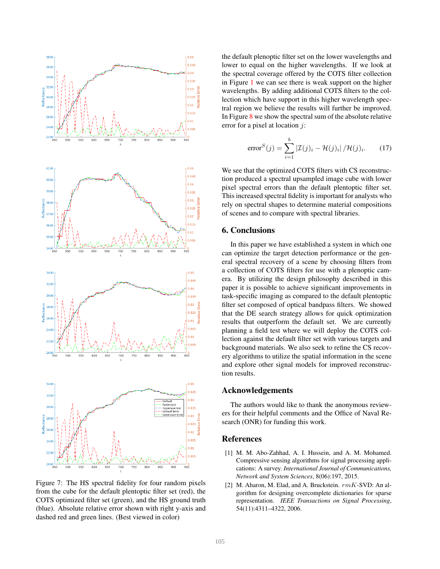<span id="page-6-3"></span>

Figure 7: The HS spectral fidelity for four random pixels from the cube for the default plentoptic filter set (red), the COTS optimized filter set (green), and the HS ground truth (blue). Absolute relative error shown with right y-axis and dashed red and green lines. (Best viewed in color)

the default plenoptic filter set on the lower wavelengths and lower to equal on the higher wavelengths. If we look at the spectral coverage offered by the COTS filter collection in Figure [1](#page-1-2) we can see there is weak support on the higher wavelengths. By adding additional COTS filters to the collection which have support in this higher wavelength spectral region we believe the results will further be improved. In Figure  $8$  we show the spectral sum of the absolute relative error for a pixel at location j:

error<sup>S</sup>(j) = 
$$
\sum_{i=1}^{b} |\mathcal{I}(j)_i - \mathcal{H}(j)_i| / \mathcal{H}(j)_i.
$$
 (17)

We see that the optimized COTS filters with CS reconstruction produced a spectral upsampled image cube with lower pixel spectral errors than the default plentoptic filter set. This increased spectral fidelity is important for analysts who rely on spectral shapes to determine material compositions of scenes and to compare with spectral libraries.

## <span id="page-6-0"></span>6. Conclusions

In this paper we have established a system in which one can optimize the target detection performance or the general spectral recovery of a scene by choosing filters from a collection of COTS filters for use with a plenoptic camera. By utilizing the design philosophy described in this paper it is possible to achieve significant improvements in task-specific imaging as compared to the default plentoptic filter set composed of optical bandpass filters. We showed that the DE search strategy allows for quick optimization results that outperform the default set. We are currently planning a field test where we will deploy the COTS collection against the default filter set with various targets and background materials. We also seek to refine the CS recovery algorithms to utilize the spatial information in the scene and explore other signal models for improved reconstruction results.

### Acknowledgements

The authors would like to thank the anonymous reviewers for their helpful comments and the Office of Naval Research (ONR) for funding this work.

#### References

- <span id="page-6-1"></span>[1] M. M. Abo-Zahhad, A. I. Hussein, and A. M. Mohamed. Compressive sensing algorithms for signal processing applications: A survey. *International Journal of Communications, Network and System Sciences*, 8(06):197, 2015.
- <span id="page-6-2"></span>[2] M. Aharon, M. Elad, and A. Bruckstein.  $rmK-SVD$ : An algorithm for designing overcomplete dictionaries for sparse representation. *IEEE Transactions on Signal Processing*, 54(11):4311–4322, 2006.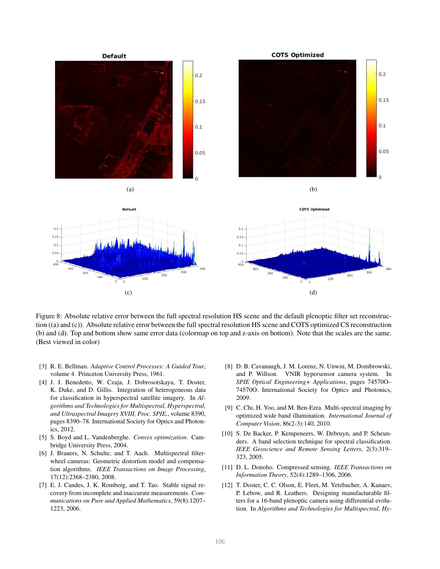<span id="page-7-10"></span>

Figure 8: Absolute relative error between the full spectral resolution HS scene and the default plenoptic filter set reconstruction ((a) and (c)). Absolute relative error between the full spectral resolution HS scene and COTS optimized CS reconstruction (b) and (d). Top and bottom show same error data (colormap on top and z-axis on bottom). Note that the scales are the same. (Best viewed in color)

- <span id="page-7-0"></span>[3] R. E. Bellman. *Adaptive Control Processes: A Guided Tour*, volume 4. Princeton University Press, 1961.
- <span id="page-7-2"></span>[4] J. J. Benedetto, W. Czaja, J. Dobrosotskaya, T. Doster, K. Duke, and D. Gillis. Integration of heterogeneous data for classification in hyperspectral satellite imagery. In *Algorithms and Technologies for Multispectral, Hyperspectral, and Ultraspectral Imagery XVIII, Proc. SPIE,*, volume 8390, pages 8390–78. International Society for Optics and Photonics, 2012.
- <span id="page-7-9"></span>[5] S. Boyd and L. Vandenberghe. *Convex optimization*. Cambridge University Press, 2004.
- <span id="page-7-4"></span>[6] J. Brauers, N. Schulte, and T. Aach. Multispectral filterwheel cameras: Geometric distortion model and compensation algorithms. *IEEE Transactions on Image Processing*, 17(12):2368–2380, 2008.
- <span id="page-7-7"></span>[7] E. J. Candes, J. K. Romberg, and T. Tao. Stable signal recovery from incomplete and inaccurate measurements. *Communications on Pure and Applied Mathematics*, 59(8):1207– 1223, 2006.
- <span id="page-7-3"></span>[8] D. B. Cavanaugh, J. M. Lorenz, N. Unwin, M. Dombrowski, and P. Willson. VNIR hypersensor camera system. In *SPIE Optical Engineering+ Applications*, pages 74570O– 74570O. International Society for Optics and Photonics, 2009.
- <span id="page-7-5"></span>[9] C. Chi, H. Yoo, and M. Ben-Ezra. Multi-spectral imaging by optimized wide band illumination. *International Journal of Computer Vision*, 86(2-3):140, 2010.
- <span id="page-7-1"></span>[10] S. De Backer, P. Kempeneers, W. Debruyn, and P. Scheunders. A band selection technique for spectral classification. *IEEE Geoscience and Remote Sensing Letters*, 2(3):319– 323, 2005.
- <span id="page-7-8"></span>[11] D. L. Donoho. Compressed sensing. *IEEE Transactions on Information Theory*, 52(4):1289–1306, 2006.
- <span id="page-7-6"></span>[12] T. Doster, C. C. Olson, E. Fleet, M. Yetzbacher, A. Kanaev, P. Lebow, and R. Leathers. Designing manufacturable filters for a 16-band plenoptic camera using differential evolution. In *Algorithms and Technologies for Multispectral, Hy-*